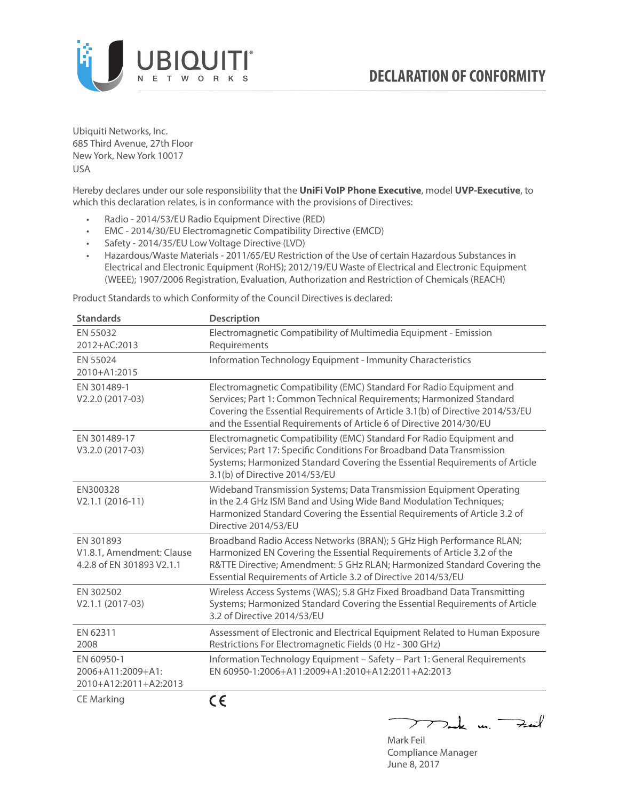

Ubiquiti Networks, Inc. 685 Third Avenue, 27th Floor New York, New York 10017 USA

Hereby declares under our sole responsibility that the **UniFi VoIP Phone Executive**, model **UVP-Executive**, to which this declaration relates, is in conformance with the provisions of Directives:

- Radio 2014/53/EU Radio Equipment Directive (RED)
- EMC 2014/30/EU Electromagnetic Compatibility Directive (EMCD)
- Safety 2014/35/EU Low Voltage Directive (LVD)
- Hazardous/Waste Materials 2011/65/EU Restriction of the Use of certain Hazardous Substances in Electrical and Electronic Equipment (RoHS); 2012/19/EU Waste of Electrical and Electronic Equipment (WEEE); 1907/2006 Registration, Evaluation, Authorization and Restriction of Chemicals (REACH)

Product Standards to which Conformity of the Council Directives is declared:

| <b>Standards</b>                                                    | <b>Description</b>                                                                                                                                                                                                                                                                                   |
|---------------------------------------------------------------------|------------------------------------------------------------------------------------------------------------------------------------------------------------------------------------------------------------------------------------------------------------------------------------------------------|
| EN 55032<br>2012+AC:2013                                            | Electromagnetic Compatibility of Multimedia Equipment - Emission<br>Requirements                                                                                                                                                                                                                     |
| EN 55024<br>2010+A1:2015                                            | Information Technology Equipment - Immunity Characteristics                                                                                                                                                                                                                                          |
| EN 301489-1<br>V2.2.0 (2017-03)                                     | Electromagnetic Compatibility (EMC) Standard For Radio Equipment and<br>Services; Part 1: Common Technical Requirements; Harmonized Standard<br>Covering the Essential Requirements of Article 3.1(b) of Directive 2014/53/EU<br>and the Essential Requirements of Article 6 of Directive 2014/30/EU |
| EN 301489-17<br>V3.2.0 (2017-03)                                    | Electromagnetic Compatibility (EMC) Standard For Radio Equipment and<br>Services; Part 17: Specific Conditions For Broadband Data Transmission<br>Systems; Harmonized Standard Covering the Essential Requirements of Article<br>3.1(b) of Directive 2014/53/EU                                      |
| EN300328<br>$V2.1.1 (2016-11)$                                      | Wideband Transmission Systems; Data Transmission Equipment Operating<br>in the 2.4 GHz ISM Band and Using Wide Band Modulation Techniques;<br>Harmonized Standard Covering the Essential Requirements of Article 3.2 of<br>Directive 2014/53/FU                                                      |
| EN 301893<br>V1.8.1, Amendment: Clause<br>4.2.8 of EN 301893 V2.1.1 | Broadband Radio Access Networks (BRAN); 5 GHz High Performance RLAN;<br>Harmonized EN Covering the Essential Requirements of Article 3.2 of the<br>R&TTE Directive; Amendment: 5 GHz RLAN; Harmonized Standard Covering the<br>Essential Requirements of Article 3.2 of Directive 2014/53/EU         |
| EN 302502<br>V2.1.1 (2017-03)                                       | Wireless Access Systems (WAS); 5.8 GHz Fixed Broadband Data Transmitting<br>Systems; Harmonized Standard Covering the Essential Requirements of Article<br>3.2 of Directive 2014/53/EU                                                                                                               |
| EN 62311<br>2008                                                    | Assessment of Electronic and Electrical Equipment Related to Human Exposure<br>Restrictions For Electromagnetic Fields (0 Hz - 300 GHz)                                                                                                                                                              |
| EN 60950-1<br>2006+A11:2009+A1:<br>2010+A12:2011+A2:2013            | Information Technology Equipment - Safety - Part 1: General Requirements<br>EN 60950-1:2006+A11:2009+A1:2010+A12:2011+A2:2013                                                                                                                                                                        |
| CE Marking                                                          | CE                                                                                                                                                                                                                                                                                                   |

Mark Feil Compliance Manager June 8, 2017

 $\sum$  and  $\sum$  in  $\sum$  in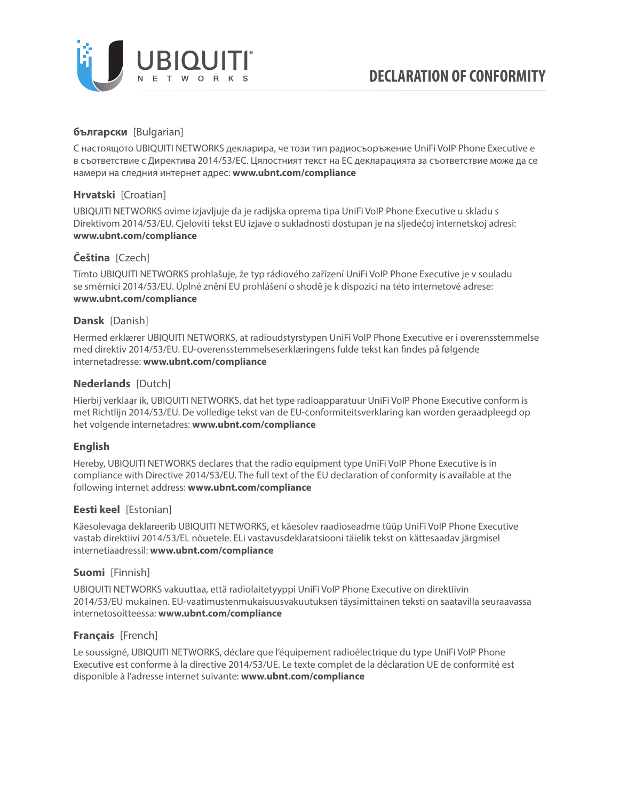

# **български** [Bulgarian]

С настоящото UBIQUITI NETWORKS декларира, че този тип радиосъоръжение UniFi VoIP Phone Executive е в съответствие с Директива 2014/53/ЕС. Цялостният текст на ЕС декларацията за съответствие може да се намери на следния интернет адрес: **[www.ubnt.com/compliance](http://www.ubnt.com/compliance)**

# **Hrvatski** [Croatian]

UBIQUITI NETWORKS ovime izjavljuje da je radijska oprema tipa UniFi VoIP Phone Executive u skladu s Direktivom 2014/53/EU. Cjeloviti tekst EU izjave o sukladnosti dostupan je na sljedećoj internetskoj adresi: **[www.ubnt.com/compliance](http://www.ubnt.com/compliance)**

# **Čeština** [Czech]

Tímto UBIQUITI NETWORKS prohlašuje, že typ rádiového zařízení UniFi VoIP Phone Executive je v souladu se směrnicí 2014/53/EU. Úplné znění EU prohlášení o shodě je k dispozici na této internetové adrese: **[www.ubnt.com/compliance](http://www.ubnt.com/compliance)**

### **Dansk** [Danish]

Hermed erklærer UBIQUITI NETWORKS, at radioudstyrstypen UniFi VoIP Phone Executive er i overensstemmelse med direktiv 2014/53/EU. EU-overensstemmelseserklæringens fulde tekst kan findes på følgende internetadresse: **[www.ubnt.com/compliance](http://www.ubnt.com/compliance)**

### **Nederlands** [Dutch]

Hierbij verklaar ik, UBIQUITI NETWORKS, dat het type radioapparatuur UniFi VoIP Phone Executive conform is met Richtlijn 2014/53/EU. De volledige tekst van de EU-conformiteitsverklaring kan worden geraadpleegd op het volgende internetadres: **[www.ubnt.com/compliance](http://www.ubnt.com/compliance)**

### **English**

Hereby, UBIQUITI NETWORKS declares that the radio equipment type UniFi VoIP Phone Executive is in compliance with Directive 2014/53/EU. The full text of the EU declaration of conformity is available at the following internet address: **[www.ubnt.com/compliance](http://www.ubnt.com/compliance)**

### **Eesti keel** [Estonian]

Käesolevaga deklareerib UBIQUITI NETWORKS, et käesolev raadioseadme tüüp UniFi VoIP Phone Executive vastab direktiivi 2014/53/EL nõuetele. ELi vastavusdeklaratsiooni täielik tekst on kättesaadav järgmisel internetiaadressil: **[www.ubnt.com/compliance](http://www.ubnt.com/compliance)**

### **Suomi** [Finnish]

UBIQUITI NETWORKS vakuuttaa, että radiolaitetyyppi UniFi VoIP Phone Executive on direktiivin 2014/53/EU mukainen. EU-vaatimustenmukaisuusvakuutuksen täysimittainen teksti on saatavilla seuraavassa internetosoitteessa: **[www.ubnt.com/compliance](http://www.ubnt.com/compliance)**

### **Français** [French]

Le soussigné, UBIQUITI NETWORKS, déclare que l'équipement radioélectrique du type UniFi VoIP Phone Executive est conforme à la directive 2014/53/UE. Le texte complet de la déclaration UE de conformité est disponible à l'adresse internet suivante: **[www.ubnt.com/compliance](http://www.ubnt.com/compliance)**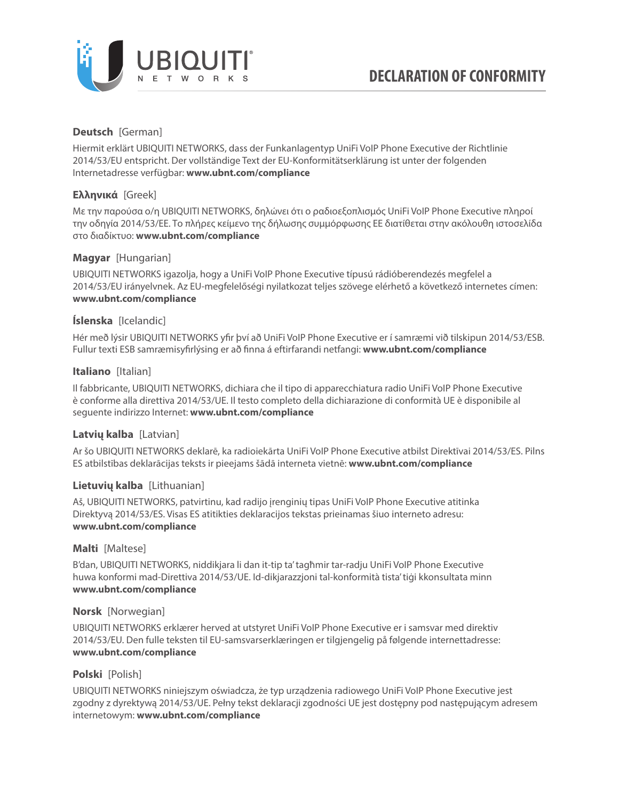

### **Deutsch** [German]

Hiermit erklärt UBIQUITI NETWORKS, dass der Funkanlagentyp UniFi VoIP Phone Executive der Richtlinie 2014/53/EU entspricht. Der vollständige Text der EU-Konformitätserklärung ist unter der folgenden Internetadresse verfügbar: **[www.ubnt.com/compliance](http://www.ubnt.com/compliance)**

### **Ελληνικά** [Greek]

Με την παρούσα ο/η UBIQUITI NETWORKS, δηλώνει ότι ο ραδιοεξοπλισμός UniFi VoIP Phone Executive πληροί την οδηγία 2014/53/ΕΕ. Το πλήρες κείμενο της δήλωσης συμμόρφωσης ΕΕ διατίθεται στην ακόλουθη ιστοσελίδα στο διαδίκτυο: **[www.ubnt.com/compliance](http://www.ubnt.com/compliance)**

### **Magyar** [Hungarian]

UBIQUITI NETWORKS igazolja, hogy a UniFi VoIP Phone Executive típusú rádióberendezés megfelel a 2014/53/EU irányelvnek. Az EU-megfelelőségi nyilatkozat teljes szövege elérhető a következő internetes címen: **[www.ubnt.com/compliance](http://www.ubnt.com/compliance)**

### **Íslenska** [Icelandic]

Hér með lýsir UBIQUITI NETWORKS yfir því að UniFi VoIP Phone Executive er í samræmi við tilskipun 2014/53/ESB. Fullur texti ESB samræmisyfirlýsing er að finna á eftirfarandi netfangi: **[www.ubnt.com/compliance](http://www.ubnt.com/compliance)**

### **Italiano** [Italian]

Il fabbricante, UBIQUITI NETWORKS, dichiara che il tipo di apparecchiatura radio UniFi VoIP Phone Executive è conforme alla direttiva 2014/53/UE. Il testo completo della dichiarazione di conformità UE è disponibile al seguente indirizzo Internet: **[www.ubnt.com/compliance](http://www.ubnt.com/compliance)**

### **Latvių kalba** [Latvian]

Ar šo UBIQUITI NETWORKS deklarē, ka radioiekārta UniFi VoIP Phone Executive atbilst Direktīvai 2014/53/ES. Pilns ES atbilstības deklarācijas teksts ir pieejams šādā interneta vietnē: **[www.ubnt.com/compliance](http://www.ubnt.com/compliance)**

### **Lietuvių kalba** [Lithuanian]

Aš, UBIQUITI NETWORKS, patvirtinu, kad radijo įrenginių tipas UniFi VoIP Phone Executive atitinka Direktyvą 2014/53/ES. Visas ES atitikties deklaracijos tekstas prieinamas šiuo interneto adresu: **[www.ubnt.com/compliance](http://www.ubnt.com/compliance)**

### **Malti** [Maltese]

B'dan, UBIQUITI NETWORKS, niddikjara li dan it-tip ta' tagħmir tar-radju UniFi VoIP Phone Executive huwa konformi mad-Direttiva 2014/53/UE. Id-dikjarazzjoni tal-konformità tista' tiġi kkonsultata minn **[www.ubnt.com/compliance](http://www.ubnt.com/compliance)**

### **Norsk** [Norwegian]

UBIQUITI NETWORKS erklærer herved at utstyret UniFi VoIP Phone Executive er i samsvar med direktiv 2014/53/EU. Den fulle teksten til EU-samsvarserklæringen er tilgjengelig på følgende internettadresse: **[www.ubnt.com/compliance](http://www.ubnt.com/compliance)**

### **Polski** [Polish]

UBIQUITI NETWORKS niniejszym oświadcza, że typ urządzenia radiowego UniFi VoIP Phone Executive jest zgodny z dyrektywą 2014/53/UE. Pełny tekst deklaracji zgodności UE jest dostępny pod następującym adresem internetowym: **[www.ubnt.com/compliance](http://www.ubnt.com/compliance)**